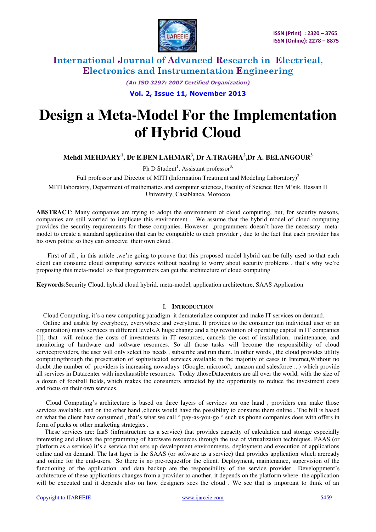

> *(An ISO 3297: 2007 Certified Organization)*  **Vol. 2, Issue 11, November 2013**

# **Design a Meta-Model For the Implementation of Hybrid Cloud**

### **Mehdi MEHDARY<sup>1</sup> , Dr E.BEN LAHMAR<sup>3</sup> , Dr A.TRAGHA<sup>2</sup> ,Dr A. BELANGOUR<sup>3</sup>**

Ph D Student<sup>1</sup>, Assistant professor<sup>3,</sup>

Full professor and Director of MITI (Information Treatment and Modeling Laboratory)<sup>2</sup>

MITI laboratory, Department of mathematics and computer sciences, Faculty of Science Ben M'sik, Hassan II University, Casablanca, Morocco

**ABSTRACT**: Many companies are trying to adopt the environment of cloud computing, but, for security reasons, companies are still worried to implicate this environment . We assume that the hybrid model of cloud computing provides the security requirements for these companies. However ,programmers doesn't have the necessary metamodel to create a standard application that can be compatible to each provider , due to the fact that each provider has his own politic so they can conceive their own cloud .

 First of all , in this article ,we're going to prouve that this proposed model hybrid can be fully used so that each client can consume cloud computing services without needing to worry about security problems . that's why we're proposing this meta-model so that programmers can get the architecture of cloud computing

**Keywords**:Security Cloud, hybrid cloud hybrid, meta-model, application architecture, SAAS Application

#### I. **INTRODUCTION**

Cloud Computing, it's a new computing paradigm it dematerialize computer and make IT services on demand.

Online and usable by everybody, everywhere and everytime. It provides to the consumer (an individual user or an organization) many services in different levels.A huge change and a big revolution of operating capital in IT companies [1], that will reduce the costs of investments in IT resources, cancels the cost of installation, maintenance, and monitoring of hardware and software resources. So all those tasks will become the responsibility of cloud serviceproviders, the user will only select his needs , subscribe and run them. In other words , the cloud provides utility computingthrough the presentation of sophisticated services available in the majority of cases in Internet,Without no doubt ,the number of providers is increasing nowadays (Google, microsoft, amazon and salesforce ...) which provide all services in Datacenter with inexhaustible resources. Today ,thoseDatacenters are all over the world, with the size of a dozen of football fields, which makes the consumers attracted by the opportunity to reduce the investment costs and focus on their own services.

 Cloud Computing's architecture is based on three layers of services .on one hand , providers can make those services available ,and on the other hand ,clients would have the possibility to consume them online . The bill is based on what the client have consumed , that's what we call " pay-as-you-go " such us phone companies does with offers in form of packs or other marketing strategies .

 These services are: IaaS (infrastructure as a service) that provides capacity of calculation and storage especially interesting and allows the programming of hardware resources through the use of virtualization techniques. PAAS (or platform as a service) it's a service that sets up development environments, deployment and execution of applications online and on demand. The last layer is the SAAS (or software as a service) that provides application which areready and online for the end-users. So there is no pre-requestfor the client. Deployment, maintenance, supervision of the functioning of the application and data backup are the responsibility of the service provider. Developpment's architecture of these applications changes from a provider to another, it depends on the platform where the application will be executed and it depends also on how designers sees the cloud . We see that is important to think of an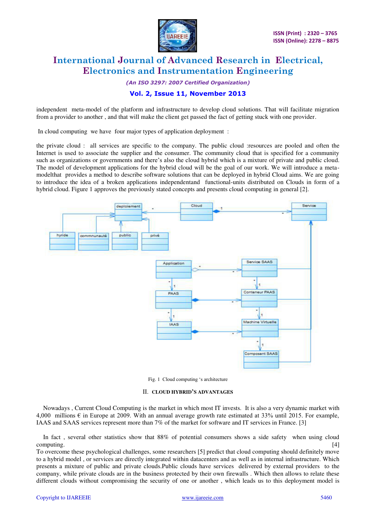

*(An ISO 3297: 2007 Certified Organization)* 

#### **Vol. 2, Issue 11, November 2013**

independent meta-model of the platform and infrastructure to develop cloud solutions. That will facilitate migration from a provider to another , and that will make the client get passed the fact of getting stuck with one provider.

In cloud computing we have four major types of application deployment :

the private cloud : all services are specific to the company. The public cloud :resources are pooled and often the Internet is used to associate the supplier and the consumer. The community cloud that is specified for a community such as organizations or governments and there's also the cloud hybrid which is a mixture of private and public cloud. The model of development applications for the hybrid cloud will be the goal of our work. We will introduce a metamodelthat provides a method to describe software solutions that can be deployed in hybrid Cloud aims. We are going to introduce the idea of a broken applications independentand functional-units distributed on Clouds in form of a hybrid cloud. Figure 1 approves the previously stated concepts and presents cloud computing in general [2].



Fig. 1 Cloud computing 's architecture

#### II. **CLOUD HYBRID'S ADVANTAGES**

Nowadays , Current Cloud Computing is the market in which most IT invests. It is also a very dynamic market with 4,000 millions  $\epsilon$  in Europe at 2009. With an annual average growth rate estimated at 33% until 2015. For example, IAAS and SAAS services represent more than 7% of the market for software and IT services in France. [3]

In fact , several other statistics show that 88% of potential consumers shows a side safety when using cloud computing. [4] Computing Computing Computing Computing Computing Computing Computing Computing Computing Computing Computing Computing Computing Computing Computing Computing Computing Computing Computing Computing Computi

To overcome these psychological challenges, some researchers [5] predict that cloud computing should definitely move to a hybrid model , or services are directly integrated within datacenters and as well as in internal infrastructure. Which presents a mixture of public and private clouds.Public clouds have services delivered by external providers to the company, while private clouds are in the business protected by their own firewalls . Which then allows to relate these different clouds without compromising the security of one or another , which leads us to this deployment model is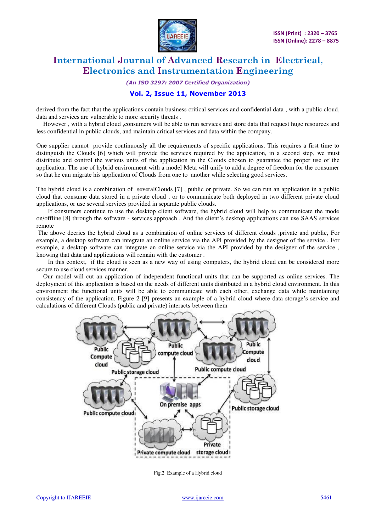

#### *(An ISO 3297: 2007 Certified Organization)*

#### **Vol. 2, Issue 11, November 2013**

derived from the fact that the applications contain business critical services and confidential data , with a public cloud, data and services are vulnerable to more security threats .

However , with a hybrid cloud ,consumers will be able to run services and store data that request huge resources and less confidential in public clouds, and maintain critical services and data within the company.

One supplier cannot provide continuously all the requirements of specific applications. This requires a first time to distinguish the Clouds [6] which will provide the services required by the application, in a second step, we must distribute and control the various units of the application in the Clouds chosen to guarantee the proper use of the application. The use of hybrid environment with a model Meta will unify to add a degree of freedom for the consumer so that he can migrate his application of Clouds from one to another while selecting good services.

The hybrid cloud is a combination of severalClouds [7] , public or private. So we can run an application in a public cloud that consume data stored in a private cloud , or to communicate both deployed in two different private cloud applications, or use several services provided in separate public clouds.

 If consumers continue to use the desktop client software, the hybrid cloud will help to communicate the mode on/offline [8] through the software - services approach . And the client's desktop applications can use SAAS services remote

 The above decries the hybrid cloud as a combination of online services of different clouds ,private and public, For example, a desktop software can integrate an online service via the API provided by the designer of the service , For example, a desktop software can integrate an online service via the API provided by the designer of the service , knowing that data and applications will remain with the customer .

 In this context, if the cloud is seen as a new way of using computers, the hybrid cloud can be considered more secure to use cloud services manner.

Our model will cut an application of independent functional units that can be supported as online services. The deployment of this application is based on the needs of different units distributed in a hybrid cloud environment. In this environment the functional units will be able to communicate with each other, exchange data while maintaining consistency of the application. Figure 2 [9] presents an example of a hybrid cloud where data storage's service and calculations of different Clouds (public and private) interacts between them



Fig.2 Example of a Hybrid cloud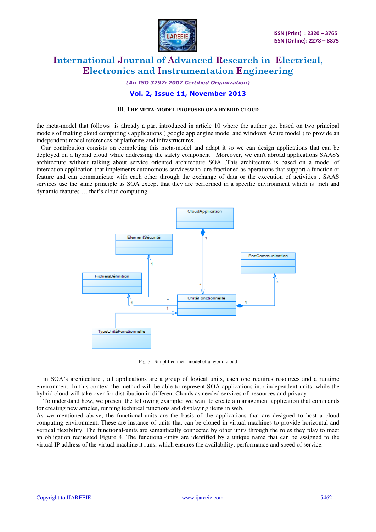

### *(An ISO 3297: 2007 Certified Organization)*

#### **Vol. 2, Issue 11, November 2013**

#### III. **THE META-MODEL PROPOSED OF A HYBRID CLOUD**

the meta-model that follows is already a part introduced in article 10 where the author got based on two principal models of making cloud computing's applications ( google app engine model and windows Azure model ) to provide an independent model references of platforms and infrastructures.

 Our contribution consists on completing this meta-model and adapt it so we can design applications that can be deployed on a hybrid cloud while addressing the safety component . Moreover, we can't abroad applications SAAS's architecture without talking about service oriented architecture SOA .This architecture is based on a model of interaction application that implements autonomous serviceswho are fractioned as operations that support a function or feature and can communicate with each other through the exchange of data or the execution of activities . SAAS services use the same principle as SOA except that they are performed in a specific environment which is rich and dynamic features … that's cloud computing.



Fig. 3 Simplified meta-model of a hybrid cloud

in SOA's architecture , all applications are a group of logical units, each one requires resources and a runtime environment. In this context the method will be able to represent SOA applications into independent units, while the hybrid cloud will take over for distribution in different Clouds as needed services of resources and privacy .

To understand how, we present the following example: we want to create a management application that commands for creating new articles, running technical functions and displaying items in web.

As we mentioned above, the functional-units are the basis of the applications that are designed to host a cloud computing environment. These are instance of units that can be cloned in virtual machines to provide horizontal and vertical flexibility. The functional-units are semantically connected by other units through the roles they play to meet an obligation requested Figure 4. The functional-units are identified by a unique name that can be assigned to the virtual IP address of the virtual machine it runs, which ensures the availability, performance and speed of service.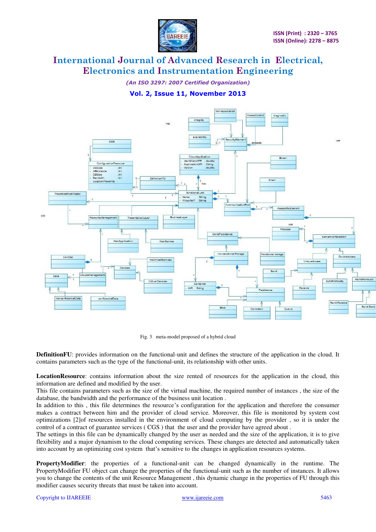

*(An ISO 3297: 2007 Certified Organization)*  **Vol. 2, Issue 11, November 2013** 



Fig. 3 meta-model proposed of a hybrid cloud

**DefinitionFU**: provides information on the functional-unit and defines the structure of the application in the cloud. It contains parameters such as the type of the functional-unit, its relationship with other units.

**LocationResource**: contains information about the size rented of resources for the application in the cloud, this information are defined and modified by the user.

This file contains parameters such as the size of the virtual machine, the required number of instances , the size of the database, the bandwidth and the performance of the business unit location .

In addition to this , this file determines the resource's configuration for the application and therefore the consumer makes a contract between him and the provider of cloud service. Moreover, this file is monitored by system cost optimizations [2]of resources installed in the environment of cloud computing by the provider , so it is under the control of a contract of guarantee services ( CGS ) that the user and the provider have agreed about .

The settings in this file can be dynamically changed by the user as needed and the size of the application, it is to give flexibility and a major dynamism to the cloud computing services. These changes are detected and automatically taken into account by an optimizing cost system that's sensitive to the changes in application resources systems.

**PropertyModifier**: the properties of a functional-unit can be changed dynamically in the runtime. The PropertyModifier FU object can change the properties of the functional-unit such as the number of instances. It allows you to change the contents of the unit Resource Management , this dynamic change in the properties of FU through this modifier causes security threats that must be taken into account.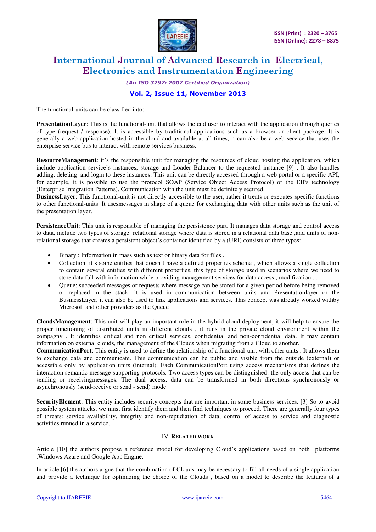

### *(An ISO 3297: 2007 Certified Organization)*  **Vol. 2, Issue 11, November 2013**

The functional-units can be classified into:

**PresentationLayer**: This is the functional-unit that allows the end user to interact with the application through queries of type (request / response). It is accessible by traditional applications such as a browser or client package. It is generally a web application hosted in the cloud and available at all times, it can also be a web service that uses the enterprise service bus to interact with remote services business.

**ResourceManagement**: it's the responsible unit for managing the resources of cloud hosting the application, which include application service's instances, storage and Loader Balancer to the requested instance [9] . It also handles adding, deleting and login to these instances. This unit can be directly accessed through a web portal or a specific API, for example, it is possible to use the protocol SOAP (Service Object Access Protocol) or the EIPs technology (Enterprise Integration Patterns). Communication with the unit must be definitely secured.

**BusinessLayer**: This functional-unit is not directly accessible to the user, rather it treats or executes specific functions to other functional-units. It usesmessages in shape of a queue for exchanging data with other units such as the unit of the presentation layer.

**PersistenceUnit**: This unit is responsible of managing the persistence part. It manages data storage and control access to data, include two types of storage: relational storage where data is stored in a relational data base ,and units of nonrelational storage that creates a persistent object's container identified by a (URI) consists of three types:

- Binary : Information in mass such as text or binary data for files .
- Collection: it's some entities that doesn't have a defined properties scheme , which allows a single collection to contain several entities with different properties, this type of storage used in scenarios where we need to store data full with information while providing management services for data access , modification ...
- Queue: succeeded messages or requests where message can be stored for a given period before being removed or replaced in the stack. It is used in communication between units and Presentationlayer or the BusinessLayer, it can also be used to link applications and services. This concept was already worked withby Microsoft and other providers as the Queue

**CloudsManagement**: This unit will play an important role in the hybrid cloud deployment, it will help to ensure the proper functioning of distributed units in different clouds , it runs in the private cloud environment within the compagny . It identifies critical and non critical services, confidential and non-confidential data. It may contain information on external clouds, the management of the Clouds when migrating from a Cloud to another.

**CommunicationPort**: This entity is used to define the relationship of a functional-unit with other units . It allows them to exchange data and communicate. This communication can be public and visible from the outside (external) or accessible only by application units (internal). Each CommunicationPort using access mechanisms that defines the interaction semantic message supporting protocols. Two access types can be distinguished: the only access that can be sending or receivingmessages. The dual access, data can be transformed in both directions synchronously or asynchronously (send-receive or send - send) mode.

**SecurityElement**: This entity includes security concepts that are important in some business services. [3] So to avoid possible system attacks, we must first identify them and then find techniques to proceed. There are generally four types of threats: service availability, integrity and non-repudiation of data, control of access to service and diagnostic activities runned in a service.

#### IV.**RELATED WORK**

Article [10] the authors propose a reference model for developing Cloud's applications based on both platforms :Windows Azure and Google App Engine.

In article [6] the authors argue that the combination of Clouds may be necessary to fill all needs of a single application and provide a technique for optimizing the choice of the Clouds , based on a model to describe the features of a